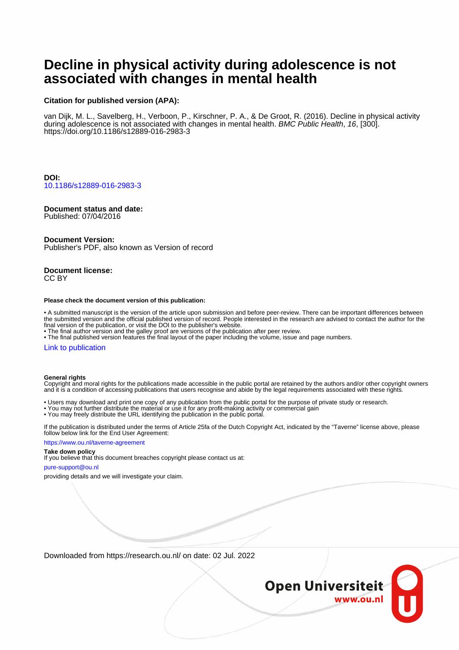# **Decline in physical activity during adolescence is not associated with changes in mental health**

## **Citation for published version (APA):**

van Dijk, M. L., Savelberg, H., Verboon, P., Kirschner, P. A., & De Groot, R. (2016). Decline in physical activity during adolescence is not associated with changes in mental health. BMC Public Health, 16, [300]. <https://doi.org/10.1186/s12889-016-2983-3>

**DOI:** [10.1186/s12889-016-2983-3](https://doi.org/10.1186/s12889-016-2983-3)

## **Document status and date:**

Published: 07/04/2016

## **Document Version:**

Publisher's PDF, also known as Version of record

#### **Document license:** CC BY

## **Please check the document version of this publication:**

• A submitted manuscript is the version of the article upon submission and before peer-review. There can be important differences between the submitted version and the official published version of record. People interested in the research are advised to contact the author for the final version of the publication, or visit the DOI to the publisher's website.

• The final author version and the galley proof are versions of the publication after peer review.

• The final published version features the final layout of the paper including the volume, issue and page numbers.

## [Link to publication](https://research.ou.nl/en/publications/e8d104ce-96af-4931-ab44-e5f144d315cc)

## **General rights**

Copyright and moral rights for the publications made accessible in the public portal are retained by the authors and/or other copyright owners and it is a condition of accessing publications that users recognise and abide by the legal requirements associated with these rights.

- Users may download and print one copy of any publication from the public portal for the purpose of private study or research.
- You may not further distribute the material or use it for any profit-making activity or commercial gain
- You may freely distribute the URL identifying the publication in the public portal.

If the publication is distributed under the terms of Article 25fa of the Dutch Copyright Act, indicated by the "Taverne" license above, please follow below link for the End User Agreement:

## https://www.ou.nl/taverne-agreement

## **Take down policy**

If you believe that this document breaches copyright please contact us at:

## pure-support@ou.nl

providing details and we will investigate your claim.

Downloaded from https://research.ou.nl/ on date: 02 Jul. 2022

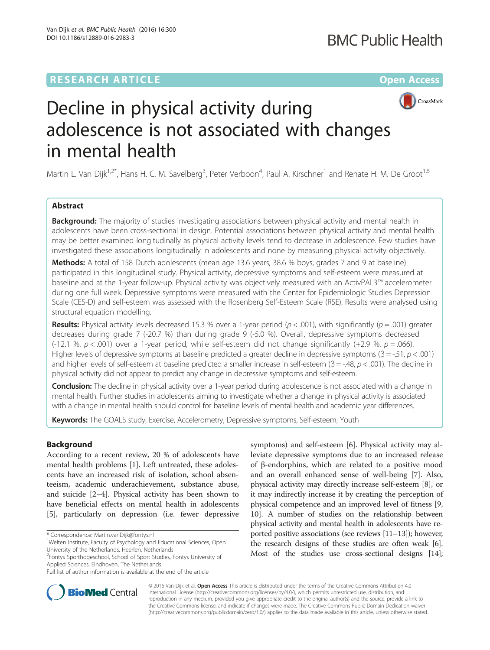## **RESEARCH ARTICLE External Structure Community Community Community Community Community Community Community Community**



# Decline in physical activity during adolescence is not associated with changes in mental health

Martin L. Van Dijk<sup>1,2\*</sup>, Hans H. C. M. Savelberg<sup>3</sup>, Peter Verboon<sup>4</sup>, Paul A. Kirschner<sup>1</sup> and Renate H. M. De Groot<sup>1,5</sup>

## Abstract

**Background:** The majority of studies investigating associations between physical activity and mental health in adolescents have been cross-sectional in design. Potential associations between physical activity and mental health may be better examined longitudinally as physical activity levels tend to decrease in adolescence. Few studies have investigated these associations longitudinally in adolescents and none by measuring physical activity objectively.

Methods: A total of 158 Dutch adolescents (mean age 13.6 years, 38.6 % boys, grades 7 and 9 at baseline) participated in this longitudinal study. Physical activity, depressive symptoms and self-esteem were measured at baseline and at the 1-year follow-up. Physical activity was objectively measured with an ActivPAL3™ accelerometer during one full week. Depressive symptoms were measured with the Center for Epidemiologic Studies Depression Scale (CES-D) and self-esteem was assessed with the Rosenberg Self-Esteem Scale (RSE). Results were analysed using structural equation modelling.

**Results:** Physical activity levels decreased 15.3 % over a 1-year period ( $p < .001$ ), with significantly ( $p = .001$ ) greater decreases during grade 7 (-20.7 %) than during grade 9 (-5.0 %). Overall, depressive symptoms decreased (-12.1 %,  $p < .001$ ) over a 1-year period, while self-esteem did not change significantly (+2.9 %,  $p = .066$ ). Higher levels of depressive symptoms at baseline predicted a greater decline in depressive symptoms ( $\beta = -51$ ,  $p < .001$ ) and higher levels of self-esteem at baseline predicted a smaller increase in self-esteem ( $\beta$  = -.48,  $p$  < .001). The decline in physical activity did not appear to predict any change in depressive symptoms and self-esteem.

Conclusion: The decline in physical activity over a 1-year period during adolescence is not associated with a change in mental health. Further studies in adolescents aiming to investigate whether a change in physical activity is associated with a change in mental health should control for baseline levels of mental health and academic year differences.

Keywords: The GOALS study, Exercise, Accelerometry, Depressive symptoms, Self-esteem, Youth

## Background

According to a recent review, 20 % of adolescents have mental health problems [\[1](#page-8-0)]. Left untreated, these adolescents have an increased risk of isolation, school absenteeism, academic underachievement, substance abuse, and suicide [\[2](#page-8-0)–[4\]](#page-8-0). Physical activity has been shown to have beneficial effects on mental health in adolescents [[5\]](#page-8-0), particularly on depression (i.e. fewer depressive

<sup>2</sup> Fontys Sporthogeschool, School of Sport Studies, Fontys University of Applied Sciences, Eindhoven, The Netherlands

symptoms) and self-esteem [\[6](#page-8-0)]. Physical activity may alleviate depressive symptoms due to an increased release of β-endorphins, which are related to a positive mood and an overall enhanced sense of well-being [\[7](#page-8-0)]. Also, physical activity may directly increase self-esteem [\[8](#page-8-0)], or it may indirectly increase it by creating the perception of physical competence and an improved level of fitness [\[9](#page-8-0), [10\]](#page-8-0). A number of studies on the relationship between physical activity and mental health in adolescents have reported positive associations (see reviews [\[11](#page-9-0)–[13](#page-9-0)]); however, the research designs of these studies are often weak [[6](#page-8-0)]. Most of the studies use cross-sectional designs [\[14](#page-9-0)];



© 2016 Van Dijk et al. **Open Access** This article is distributed under the terms of the Creative Commons Attribution 4.0 International License [\(http://creativecommons.org/licenses/by/4.0/](http://creativecommons.org/licenses/by/4.0/)), which permits unrestricted use, distribution, and reproduction in any medium, provided you give appropriate credit to the original author(s) and the source, provide a link to the Creative Commons license, and indicate if changes were made. The Creative Commons Public Domain Dedication waiver [\(http://creativecommons.org/publicdomain/zero/1.0/](http://creativecommons.org/publicdomain/zero/1.0/)) applies to the data made available in this article, unless otherwise stated.

<sup>\*</sup> Correspondence: [Martin.vanDijk@fontys.nl](mailto:Martin.vanDijk@fontys.nl) <sup>1</sup>

<sup>&</sup>lt;sup>1</sup>Welten Institute, Faculty of Psychology and Educational Sciences, Open University of the Netherlands, Heerlen, Netherlands

Full list of author information is available at the end of the article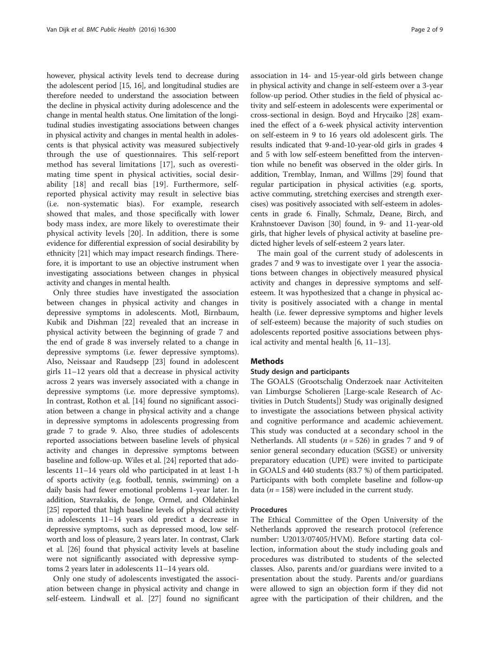however, physical activity levels tend to decrease during the adolescent period [\[15](#page-9-0), [16](#page-9-0)], and longitudinal studies are therefore needed to understand the association between the decline in physical activity during adolescence and the change in mental health status. One limitation of the longitudinal studies investigating associations between changes in physical activity and changes in mental health in adolescents is that physical activity was measured subjectively through the use of questionnaires. This self-report method has several limitations [\[17](#page-9-0)], such as overestimating time spent in physical activities, social desirability [[18\]](#page-9-0) and recall bias [[19\]](#page-9-0). Furthermore, selfreported physical activity may result in selective bias (i.e. non-systematic bias). For example, research showed that males, and those specifically with lower body mass index, are more likely to overestimate their physical activity levels [[20\]](#page-9-0). In addition, there is some evidence for differential expression of social desirability by ethnicity [\[21\]](#page-9-0) which may impact research findings. Therefore, it is important to use an objective instrument when investigating associations between changes in physical activity and changes in mental health.

Only three studies have investigated the association between changes in physical activity and changes in depressive symptoms in adolescents. Motl, Birnbaum, Kubik and Dishman [\[22](#page-9-0)] revealed that an increase in physical activity between the beginning of grade 7 and the end of grade 8 was inversely related to a change in depressive symptoms (i.e. fewer depressive symptoms). Also, Neissaar and Raudsepp [[23](#page-9-0)] found in adolescent girls 11–12 years old that a decrease in physical activity across 2 years was inversely associated with a change in depressive symptoms (i.e. more depressive symptoms). In contrast, Rothon et al. [[14\]](#page-9-0) found no significant association between a change in physical activity and a change in depressive symptoms in adolescents progressing from grade 7 to grade 9. Also, three studies of adolescents reported associations between baseline levels of physical activity and changes in depressive symptoms between baseline and follow-up. Wiles et al. [\[24\]](#page-9-0) reported that adolescents 11–14 years old who participated in at least 1-h of sports activity (e.g. football, tennis, swimming) on a daily basis had fewer emotional problems 1-year later. In addition, Stavrakakis, de Jonge, Ormel, and Oldehinkel [[25](#page-9-0)] reported that high baseline levels of physical activity in adolescents 11–14 years old predict a decrease in depressive symptoms, such as depressed mood, low selfworth and loss of pleasure, 2 years later. In contrast, Clark et al. [\[26\]](#page-9-0) found that physical activity levels at baseline were not significantly associated with depressive symptoms 2 years later in adolescents 11–14 years old.

Only one study of adolescents investigated the association between change in physical activity and change in self-esteem. Lindwall et al. [\[27](#page-9-0)] found no significant association in 14- and 15-year-old girls between change in physical activity and change in self-esteem over a 3-year follow-up period. Other studies in the field of physical activity and self-esteem in adolescents were experimental or cross-sectional in design. Boyd and Hrycaiko [\[28\]](#page-9-0) examined the effect of a 6-week physical activity intervention on self-esteem in 9 to 16 years old adolescent girls. The results indicated that 9-and-10-year-old girls in grades 4 and 5 with low self-esteem benefitted from the intervention while no benefit was observed in the older girls. In addition, Tremblay, Inman, and Willms [[29](#page-9-0)] found that regular participation in physical activities (e.g. sports, active commuting, stretching exercises and strength exercises) was positively associated with self-esteem in adolescents in grade 6. Finally, Schmalz, Deane, Birch, and Krahnstoever Davison [\[30\]](#page-9-0) found, in 9- and 11-year-old girls, that higher levels of physical activity at baseline predicted higher levels of self-esteem 2 years later.

The main goal of the current study of adolescents in grades 7 and 9 was to investigate over 1 year the associations between changes in objectively measured physical activity and changes in depressive symptoms and selfesteem. It was hypothesized that a change in physical activity is positively associated with a change in mental health (i.e. fewer depressive symptoms and higher levels of self-esteem) because the majority of such studies on adolescents reported positive associations between physical activity and mental health [[6,](#page-8-0) [11](#page-9-0)–[13\]](#page-9-0).

## Methods

## Study design and participants

The GOALS (Grootschalig Onderzoek naar Activiteiten van Limburgse Scholieren [Large-scale Research of Activities in Dutch Students]) Study was originally designed to investigate the associations between physical activity and cognitive performance and academic achievement. This study was conducted at a secondary school in the Netherlands. All students ( $n = 526$ ) in grades 7 and 9 of senior general secondary education (SGSE) or university preparatory education (UPE) were invited to participate in GOALS and 440 students (83.7 %) of them participated. Participants with both complete baseline and follow-up data ( $n = 158$ ) were included in the current study.

## Procedures

The Ethical Committee of the Open University of the Netherlands approved the research protocol (reference number: U2013/07405/HVM). Before starting data collection, information about the study including goals and procedures was distributed to students of the selected classes. Also, parents and/or guardians were invited to a presentation about the study. Parents and/or guardians were allowed to sign an objection form if they did not agree with the participation of their children, and the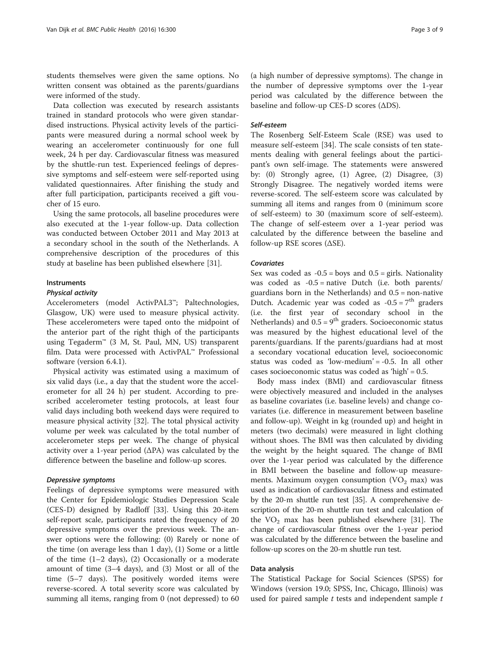students themselves were given the same options. No written consent was obtained as the parents/guardians were informed of the study.

Data collection was executed by research assistants trained in standard protocols who were given standardised instructions. Physical activity levels of the participants were measured during a normal school week by wearing an accelerometer continuously for one full week, 24 h per day. Cardiovascular fitness was measured by the shuttle-run test. Experienced feelings of depressive symptoms and self-esteem were self-reported using validated questionnaires. After finishing the study and after full participation, participants received a gift voucher of 15 euro.

Using the same protocols, all baseline procedures were also executed at the 1-year follow-up. Data collection was conducted between October 2011 and May 2013 at a secondary school in the south of the Netherlands. A comprehensive description of the procedures of this study at baseline has been published elsewhere [[31\]](#page-9-0).

## Instruments

## Physical activity

Accelerometers (model ActivPAL3™; Paltechnologies, Glasgow, UK) were used to measure physical activity. These accelerometers were taped onto the midpoint of the anterior part of the right thigh of the participants using Tegaderm™ (3 M, St. Paul, MN, US) transparent film. Data were processed with ActivPAL™ Professional software (version 6.4.1).

Physical activity was estimated using a maximum of six valid days (i.e., a day that the student wore the accelerometer for all 24 h) per student. According to prescribed accelerometer testing protocols, at least four valid days including both weekend days were required to measure physical activity [[32\]](#page-9-0). The total physical activity volume per week was calculated by the total number of accelerometer steps per week. The change of physical activity over a 1-year period  $(ΔPA)$  was calculated by the difference between the baseline and follow-up scores.

## Depressive symptoms

Feelings of depressive symptoms were measured with the Center for Epidemiologic Studies Depression Scale (CES-D) designed by Radloff [[33\]](#page-9-0). Using this 20-item self-report scale, participants rated the frequency of 20 depressive symptoms over the previous week. The answer options were the following: (0) Rarely or none of the time (on average less than 1 day), (1) Some or a little of the time (1–2 days), (2) Occasionally or a moderate amount of time (3–4 days), and (3) Most or all of the time (5–7 days). The positively worded items were reverse-scored. A total severity score was calculated by summing all items, ranging from 0 (not depressed) to 60

(a high number of depressive symptoms). The change in the number of depressive symptoms over the 1-year period was calculated by the difference between the baseline and follow-up CES-D scores (ΔDS).

## Self-esteem

The Rosenberg Self-Esteem Scale (RSE) was used to measure self-esteem [[34\]](#page-9-0). The scale consists of ten statements dealing with general feelings about the participant's own self-image. The statements were answered by: (0) Strongly agree, (1) Agree, (2) Disagree, (3) Strongly Disagree. The negatively worded items were reverse-scored. The self-esteem score was calculated by summing all items and ranges from 0 (minimum score of self-esteem) to 30 (maximum score of self-esteem). The change of self-esteem over a 1-year period was calculated by the difference between the baseline and follow-up RSE scores (ΔSE).

## Covariates

Sex was coded as  $-0.5 = \text{boys}$  and  $0.5 = \text{girls}$ . Nationality was coded as -0.5 = native Dutch (i.e. both parents/ guardians born in the Netherlands) and 0.5 = non-native Dutch. Academic year was coded as  $-0.5 = 7$ <sup>th</sup> graders (i.e. the first year of secondary school in the Netherlands) and  $0.5 = 9<sup>th</sup>$  graders. Socioeconomic status was measured by the highest educational level of the parents/guardians. If the parents/guardians had at most a secondary vocational education level, socioeconomic status was coded as 'low-medium'  $= -0.5$ . In all other cases socioeconomic status was coded as 'high' = 0.5.

Body mass index (BMI) and cardiovascular fitness were objectively measured and included in the analyses as baseline covariates (i.e. baseline levels) and change covariates (i.e. difference in measurement between baseline and follow-up). Weight in kg (rounded up) and height in meters (two decimals) were measured in light clothing without shoes. The BMI was then calculated by dividing the weight by the height squared. The change of BMI over the 1-year period was calculated by the difference in BMI between the baseline and follow-up measurements. Maximum oxygen consumption  $(VO<sub>2</sub>$  max) was used as indication of cardiovascular fitness and estimated by the 20-m shuttle run test [\[35\]](#page-9-0). A comprehensive description of the 20-m shuttle run test and calculation of the  $VO<sub>2</sub>$  max has been published elsewhere [\[31](#page-9-0)]. The change of cardiovascular fitness over the 1-year period was calculated by the difference between the baseline and follow-up scores on the 20-m shuttle run test.

## Data analysis

The Statistical Package for Social Sciences (SPSS) for Windows (version 19.0; SPSS, Inc, Chicago, Illinois) was used for paired sample  $t$  tests and independent sample  $t$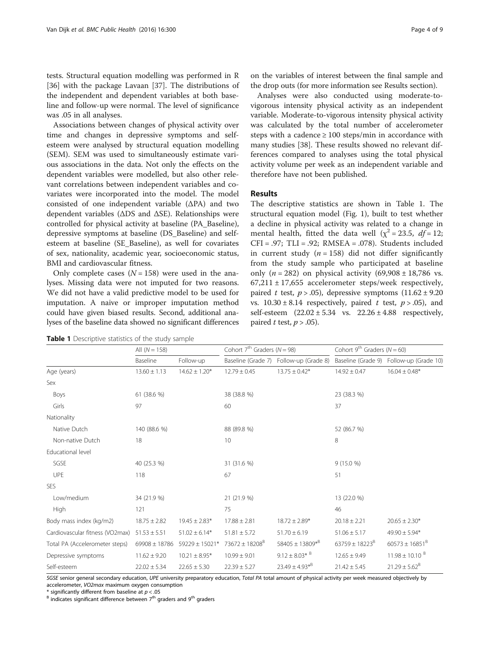<span id="page-4-0"></span>tests. Structural equation modelling was performed in R [[36\]](#page-9-0) with the package Lavaan [[37\]](#page-9-0). The distributions of the independent and dependent variables at both baseline and follow-up were normal. The level of significance was .05 in all analyses.

Associations between changes of physical activity over time and changes in depressive symptoms and selfesteem were analysed by structural equation modelling (SEM). SEM was used to simultaneously estimate various associations in the data. Not only the effects on the dependent variables were modelled, but also other relevant correlations between independent variables and covariates were incorporated into the model. The model consisted of one independent variable  $(ΔPA)$  and two dependent variables (ΔDS and ΔSE). Relationships were controlled for physical activity at baseline (PA\_Baseline), depressive symptoms at baseline (DS\_Baseline) and selfesteem at baseline (SE\_Baseline), as well for covariates of sex, nationality, academic year, socioeconomic status, BMI and cardiovascular fitness.

Only complete cases  $(N = 158)$  were used in the analyses. Missing data were not imputed for two reasons. We did not have a valid predictive model to be used for imputation. A naive or improper imputation method could have given biased results. Second, additional analyses of the baseline data showed no significant differences

Table 1 Descriptive statistics of the study sample

on the variables of interest between the final sample and the drop outs (for more information see Results section).

Analyses were also conducted using moderate-tovigorous intensity physical activity as an independent variable. Moderate-to-vigorous intensity physical activity was calculated by the total number of accelerometer steps with a cadence  $\geq 100$  steps/min in accordance with many studies [[38\]](#page-9-0). These results showed no relevant differences compared to analyses using the total physical activity volume per week as an independent variable and therefore have not been published.

## Results

The descriptive statistics are shown in Table 1. The structural equation model (Fig. [1](#page-5-0)), built to test whether a decline in physical activity was related to a change in mental health, fitted the data well ( $\chi^2$  = 23.5, df = 12; CFI = .97; TLI = .92; RMSEA = .078). Students included in current study ( $n = 158$ ) did not differ significantly from the study sample who participated at baseline only  $(n = 282)$  on physical activity  $(69,908 \pm 18,786 \text{ vs.})$  $67,211 \pm 17,655$  accelerometer steps/week respectively, paired t test,  $p > .05$ ), depressive symptoms  $(11.62 \pm 9.20)$ vs.  $10.30 \pm 8.14$  respectively, paired t test,  $p > .05$ ), and self-esteem  $(22.02 \pm 5.34 \text{ vs. } 22.26 \pm 4.88 \text{ respectively.})$ paired t test,  $p > .05$ ).

|                                 | All $(N = 158)$   |                   | Cohort $7th$ Graders ( $N = 98$ ) |                                        | Cohort 9 <sup>th</sup> Graders ( $N = 60$ ) |                                         |
|---------------------------------|-------------------|-------------------|-----------------------------------|----------------------------------------|---------------------------------------------|-----------------------------------------|
|                                 | Baseline          | Follow-up         |                                   | Baseline (Grade 7) Follow-up (Grade 8) |                                             | Baseline (Grade 9) Follow-up (Grade 10) |
| Age (years)                     | $13.60 \pm 1.13$  | $14.62 \pm 1.20*$ | $12.79 \pm 0.45$                  | $13.75 \pm 0.42*$                      | $14.92 \pm 0.47$                            | $16.04 \pm 0.48*$                       |
| Sex                             |                   |                   |                                   |                                        |                                             |                                         |
| Boys                            | 61 (38.6 %)       |                   | 38 (38.8 %)                       |                                        | 23 (38.3 %)                                 |                                         |
| Girls                           | 97                |                   | 60                                |                                        | 37                                          |                                         |
| Nationality                     |                   |                   |                                   |                                        |                                             |                                         |
| Native Dutch                    | 140 (88.6 %)      |                   | 88 (89.8 %)                       |                                        | 52 (86.7 %)                                 |                                         |
| Non-native Dutch                | 18                |                   | 10                                |                                        | 8                                           |                                         |
| Educational level               |                   |                   |                                   |                                        |                                             |                                         |
| SGSE                            | 40 (25.3 %)       |                   | 31 (31.6 %)                       |                                        | $9(15.0\%)$                                 |                                         |
| UPE                             | 118               |                   | 67                                |                                        | 51                                          |                                         |
| <b>SES</b>                      |                   |                   |                                   |                                        |                                             |                                         |
| Low/medium                      | 34 (21.9 %)       |                   | 21 (21.9 %)                       |                                        | 13 (22.0 %)                                 |                                         |
| High                            | 121               |                   | 75                                |                                        | 46                                          |                                         |
| Body mass index (kg/m2)         | $18.75 \pm 2.82$  | $19.45 \pm 2.83*$ | $17.88 \pm 2.81$                  | $18.72 \pm 2.89*$                      | $20.18 \pm 2.21$                            | $20.65 \pm 2.30*$                       |
| Cardiovascular fitness (VO2max) | $51.53 \pm 5.51$  | $51.02 \pm 6.14*$ | $51.81 \pm 5.72$                  | $51.70 \pm 6.19$                       | $51.06 \pm 5.17$                            | $49.90 \pm 5.94*$                       |
| Total PA (Accelerometer steps)  | $69908 \pm 18786$ | 59229 ± 15021*    | $73672 \pm 18208^8$               | $58405 \pm 13809^{*B}$                 | $63759 \pm 18223^8$                         | $60573 \pm 16851^B$                     |
| Depressive symptoms             | $11.62 \pm 9.20$  | $10.21 \pm 8.95*$ | $10.99 \pm 9.01$                  | $9.12 \pm 8.03*$ <sup>8</sup>          | $12.65 \pm 9.49$                            | $11.98 \pm 10.10$ <sup>B</sup>          |
| Self-esteem                     | $22.02 \pm 5.34$  | $22.65 \pm 5.30$  | $22.39 \pm 5.27$                  | $23.49 \pm 4.93*$ <sup>B</sup>         | $21.42 \pm 5.45$                            | $21.29 \pm 5.62^B$                      |

SGSE senior general secondary education, UPE university preparatory education, Total PA total amount of physical activity per week measured objectively by accelerometer, *VO2max* maximum oxygen consumption \* significantly different from baseline at  $p < .05$ 

 $B$  indicates significant difference between  $7<sup>th</sup>$  graders and 9<sup>th</sup> graders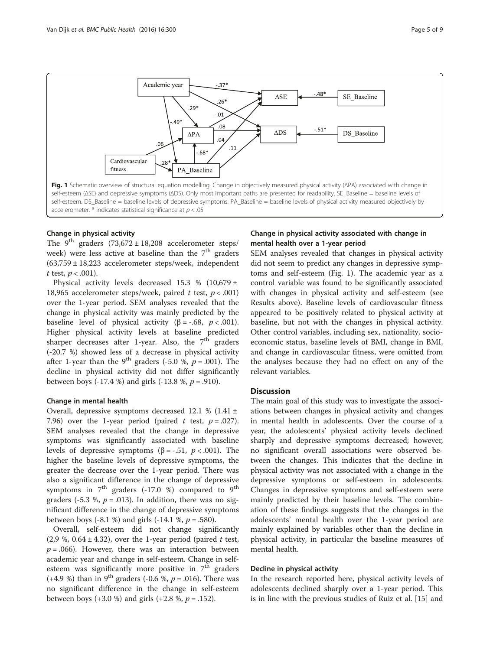<span id="page-5-0"></span>

## Change in physical activity

The 9<sup>th</sup> graders (73,672 ± 18,208 accelerometer steps/ week) were less active at baseline than the  $7<sup>th</sup>$  graders (63,759 ± 18,223 accelerometer steps/week, independent t test,  $p < .001$ ).

Physical activity levels decreased 15.3 % (10,679  $\pm$ 18,965 accelerometer steps/week, paired t test,  $p < .001$ ) over the 1-year period. SEM analyses revealed that the change in physical activity was mainly predicted by the baseline level of physical activity ( $\beta$  = -.68, *p* < .001). Higher physical activity levels at baseline predicted sharper decreases after 1-year. Also, the  $7<sup>th</sup>$  graders (-20.7 %) showed less of a decrease in physical activity after 1-year than the 9<sup>th</sup> graders (-5.0 %,  $p = .001$ ). The decline in physical activity did not differ significantly between boys  $(-17.4 \%)$  and girls  $(-13.8 \% , p = .910)$ .

## Change in mental health

Overall, depressive symptoms decreased 12.1 % (1.41  $\pm$ 7.96) over the 1-year period (paired t test,  $p = .027$ ). SEM analyses revealed that the change in depressive symptoms was significantly associated with baseline levels of depressive symptoms (β = -.51,  $p < .001$ ). The higher the baseline levels of depressive symptoms, the greater the decrease over the 1-year period. There was also a significant difference in the change of depressive symptoms in  $7<sup>th</sup>$  graders (-17.0 %) compared to  $9<sup>th</sup>$ graders (-5.3 %,  $p = .013$ ). In addition, there was no significant difference in the change of depressive symptoms between boys (-8.1 %) and girls (-14.1 %,  $p = .580$ ).

Overall, self-esteem did not change significantly  $(2,9, 9, 0.64 \pm 4.32)$ , over the 1-year period (paired t test,  $p = .066$ ). However, there was an interaction between academic year and change in self-esteem. Change in selfesteem was significantly more positive in  $7<sup>th</sup>$  graders (+4.9 %) than in 9<sup>th</sup> graders (-0.6 %,  $p = .016$ ). There was no significant difference in the change in self-esteem between boys (+3.0 %) and girls (+2.8 %,  $p = .152$ ).

## Change in physical activity associated with change in mental health over a 1-year period

SEM analyses revealed that changes in physical activity did not seem to predict any changes in depressive symptoms and self-esteem (Fig. 1). The academic year as a control variable was found to be significantly associated with changes in physical activity and self-esteem (see [Results](#page-4-0) above). Baseline levels of cardiovascular fitness appeared to be positively related to physical activity at baseline, but not with the changes in physical activity. Other control variables, including sex, nationality, socioeconomic status, baseline levels of BMI, change in BMI, and change in cardiovascular fitness, were omitted from the analyses because they had no effect on any of the relevant variables.

## **Discussion**

The main goal of this study was to investigate the associations between changes in physical activity and changes in mental health in adolescents. Over the course of a year, the adolescents' physical activity levels declined sharply and depressive symptoms decreased; however, no significant overall associations were observed between the changes. This indicates that the decline in physical activity was not associated with a change in the depressive symptoms or self-esteem in adolescents. Changes in depressive symptoms and self-esteem were mainly predicted by their baseline levels. The combination of these findings suggests that the changes in the adolescents' mental health over the 1-year period are mainly explained by variables other than the decline in physical activity, in particular the baseline measures of mental health.

## Decline in physical activity

In the research reported here, physical activity levels of adolescents declined sharply over a 1-year period. This is in line with the previous studies of Ruiz et al. [\[15](#page-9-0)] and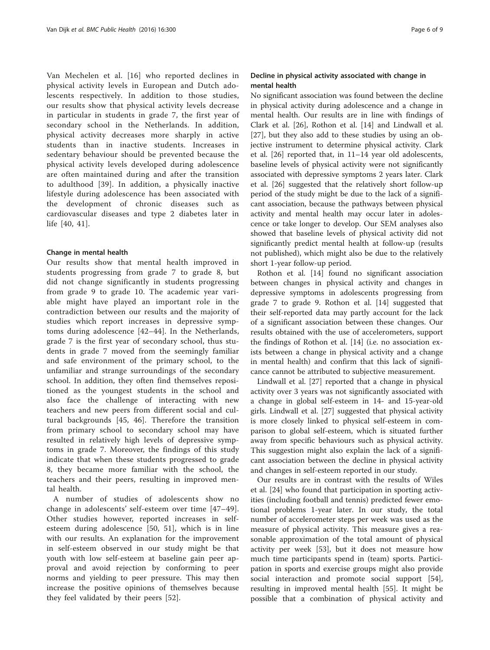Van Mechelen et al. [[16](#page-9-0)] who reported declines in physical activity levels in European and Dutch adolescents respectively. In addition to those studies, our results show that physical activity levels decrease in particular in students in grade 7, the first year of secondary school in the Netherlands. In addition, physical activity decreases more sharply in active students than in inactive students. Increases in sedentary behaviour should be prevented because the physical activity levels developed during adolescence are often maintained during and after the transition to adulthood [[39\]](#page-9-0). In addition, a physically inactive lifestyle during adolescence has been associated with the development of chronic diseases such as cardiovascular diseases and type 2 diabetes later in life [[40](#page-9-0), [41\]](#page-9-0).

## Change in mental health

Our results show that mental health improved in students progressing from grade 7 to grade 8, but did not change significantly in students progressing from grade 9 to grade 10. The academic year variable might have played an important role in the contradiction between our results and the majority of studies which report increases in depressive symptoms during adolescence [[42](#page-9-0)–[44\]](#page-9-0). In the Netherlands, grade 7 is the first year of secondary school, thus students in grade 7 moved from the seemingly familiar and safe environment of the primary school, to the unfamiliar and strange surroundings of the secondary school. In addition, they often find themselves repositioned as the youngest students in the school and also face the challenge of interacting with new teachers and new peers from different social and cultural backgrounds [[45, 46\]](#page-9-0). Therefore the transition from primary school to secondary school may have resulted in relatively high levels of depressive symptoms in grade 7. Moreover, the findings of this study indicate that when these students progressed to grade 8, they became more familiar with the school, the teachers and their peers, resulting in improved mental health.

A number of studies of adolescents show no change in adolescents' self-esteem over time [[47](#page-9-0)–[49](#page-9-0)]. Other studies however, reported increases in selfesteem during adolescence [[50, 51](#page-9-0)], which is in line with our results. An explanation for the improvement in self-esteem observed in our study might be that youth with low self-esteem at baseline gain peer approval and avoid rejection by conforming to peer norms and yielding to peer pressure. This may then increase the positive opinions of themselves because they feel validated by their peers [[52](#page-9-0)].

## Decline in physical activity associated with change in mental health

No significant association was found between the decline in physical activity during adolescence and a change in mental health. Our results are in line with findings of Clark et al. [[26](#page-9-0)], Rothon et al. [[14\]](#page-9-0) and Lindwall et al. [[27\]](#page-9-0), but they also add to these studies by using an objective instrument to determine physical activity. Clark et al. [\[26](#page-9-0)] reported that, in 11–14 year old adolescents, baseline levels of physical activity were not significantly associated with depressive symptoms 2 years later. Clark et al. [[26](#page-9-0)] suggested that the relatively short follow-up period of the study might be due to the lack of a significant association, because the pathways between physical activity and mental health may occur later in adolescence or take longer to develop. Our SEM analyses also showed that baseline levels of physical activity did not significantly predict mental health at follow-up (results not published), which might also be due to the relatively short 1-year follow-up period.

Rothon et al. [[14](#page-9-0)] found no significant association between changes in physical activity and changes in depressive symptoms in adolescents progressing from grade 7 to grade 9. Rothon et al. [\[14\]](#page-9-0) suggested that their self-reported data may partly account for the lack of a significant association between these changes. Our results obtained with the use of accelerometers, support the findings of Rothon et al. [\[14\]](#page-9-0) (i.e. no association exists between a change in physical activity and a change in mental health) and confirm that this lack of significance cannot be attributed to subjective measurement.

Lindwall et al. [[27\]](#page-9-0) reported that a change in physical activity over 3 years was not significantly associated with a change in global self-esteem in 14- and 15-year-old girls. Lindwall et al. [[27](#page-9-0)] suggested that physical activity is more closely linked to physical self-esteem in comparison to global self-esteem, which is situated further away from specific behaviours such as physical activity. This suggestion might also explain the lack of a significant association between the decline in physical activity and changes in self-esteem reported in our study.

Our results are in contrast with the results of Wiles et al. [[24\]](#page-9-0) who found that participation in sporting activities (including football and tennis) predicted fewer emotional problems 1-year later. In our study, the total number of accelerometer steps per week was used as the measure of physical activity. This measure gives a reasonable approximation of the total amount of physical activity per week [\[53](#page-9-0)], but it does not measure how much time participants spend in (team) sports. Participation in sports and exercise groups might also provide social interaction and promote social support [\[54](#page-9-0)], resulting in improved mental health [[55](#page-9-0)]. It might be possible that a combination of physical activity and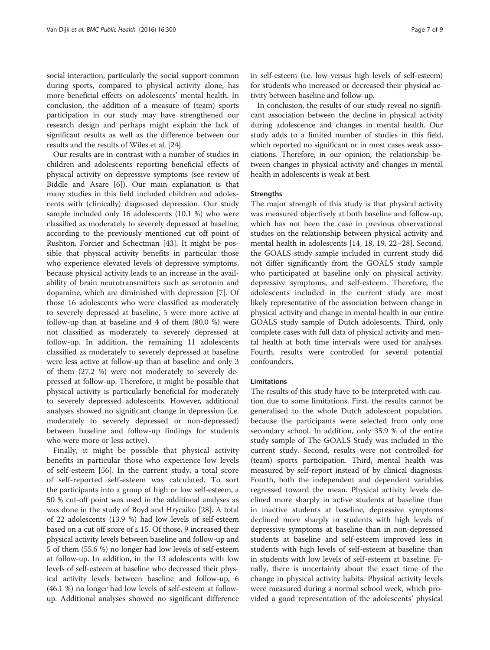social interaction, particularly the social support common during sports, compared to physical activity alone, has more beneficial effects on adolescents' mental health. In conclusion, the addition of a measure of (team) sports participation in our study may have strengthened our research design and perhaps might explain the lack of significant results as well as the difference between our results and the results of Wiles et al. [\[24](#page-9-0)].

Our results are in contrast with a number of studies in children and adolescents reporting beneficial effects of physical activity on depressive symptoms (see review of Biddle and Asare [\[6](#page-8-0)]). Our main explanation is that many studies in this field included children and adolescents with (clinically) diagnosed depression. Our study sample included only 16 adolescents (10.1 %) who were classified as moderately to severely depressed at baseline, according to the previously mentioned cut off point of Rushton, Forcier and Schectman [\[43](#page-9-0)]. It might be possible that physical activity benefits in particular those who experience elevated levels of depressive symptoms, because physical activity leads to an increase in the availability of brain neurotransmitters such as serotonin and dopamine, which are diminished with depression [\[7](#page-8-0)]. Of those 16 adolescents who were classified as moderately to severely depressed at baseline, 5 were more active at follow-up than at baseline and 4 of them (80.0 %) were not classified as moderately to severely depressed at follow-up. In addition, the remaining 11 adolescents classified as moderately to severely depressed at baseline were less active at follow-up than at baseline and only 3 of them (27.2 %) were not moderately to severely depressed at follow-up. Therefore, it might be possible that physical activity is particularly beneficial for moderately to severely depressed adolescents. However, additional analyses showed no significant change in depression (i.e. moderately to severely depressed or non-depressed) between baseline and follow-up findings for students who were more or less active).

Finally, it might be possible that physical activity benefits in particular those who experience low levels of self-esteem [[56\]](#page-9-0). In the current study, a total score of self-reported self-esteem was calculated. To sort the participants into a group of high or low self-esteem, a 50 % cut-off point was used in the additional analyses as was done in the study of Boyd and Hrycaiko [\[28](#page-9-0)]. A total of 22 adolescents (13.9 %) had low levels of self-esteem based on a cut off score of  $\leq$  15. Of those, 9 increased their physical activity levels between baseline and follow-up and 5 of them (55.6 %) no longer had low levels of self-esteem at follow-up. In addition, in the 13 adolescents with low levels of self-esteem at baseline who decreased their physical activity levels between baseline and follow-up, 6 (46.1 %) no longer had low levels of self-esteem at followup. Additional analyses showed no significant difference

in self-esteem (i.e. low versus high levels of self-esteem) for students who increased or decreased their physical activity between baseline and follow-up.

In conclusion, the results of our study reveal no significant association between the decline in physical activity during adolescence and changes in mental health. Our study adds to a limited number of studies in this field, which reported no significant or in most cases weak associations. Therefore, in our opinion, the relationship between changes in physical activity and changes in mental health in adolescents is weak at best.

## **Strengths**

The major strength of this study is that physical activity was measured objectively at both baseline and follow-up, which has not been the case in previous observational studies on the relationship between physical activity and mental health in adolescents [[14, 18, 19, 22](#page-9-0)–[28](#page-9-0)]. Second, the GOALS study sample included in current study did not differ significantly from the GOALS study sample who participated at baseline only on physical activity, depressive symptoms, and self-esteem. Therefore, the adolescents included in the current study are most likely representative of the association between change in physical activity and change in mental health in our entire GOALS study sample of Dutch adolescents. Third, only complete cases with full data of physical activity and mental health at both time intervals were used for analyses. Fourth, results were controlled for several potential confounders.

## Limitations

The results of this study have to be interpreted with caution due to some limitations. First, the results cannot be generalised to the whole Dutch adolescent population, because the participants were selected from only one secondary school. In addition, only 35.9 % of the entire study sample of The GOALS Study was included in the current study. Second, results were not controlled for (team) sports participation. Third, mental health was measured by self-report instead of by clinical diagnosis. Fourth, both the independent and dependent variables regressed toward the mean. Physical activity levels declined more sharply in active students at baseline than in inactive students at baseline, depressive symptoms declined more sharply in students with high levels of depressive symptoms at baseline than in non-depressed students at baseline and self-esteem improved less in students with high levels of self-esteem at baseline than in students with low levels of self-esteem at baseline. Finally, there is uncertainty about the exact time of the change in physical activity habits. Physical activity levels were measured during a normal school week, which provided a good representation of the adolescents' physical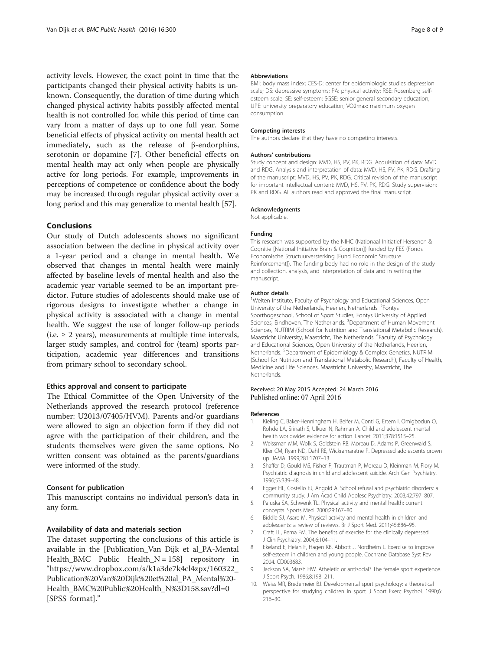<span id="page-8-0"></span>activity levels. However, the exact point in time that the participants changed their physical activity habits is unknown. Consequently, the duration of time during which changed physical activity habits possibly affected mental health is not controlled for, while this period of time can vary from a matter of days up to one full year. Some beneficial effects of physical activity on mental health act immediately, such as the release of β-endorphins, serotonin or dopamine [7]. Other beneficial effects on mental health may act only when people are physically active for long periods. For example, improvements in perceptions of competence or confidence about the body may be increased through regular physical activity over a long period and this may generalize to mental health [[57](#page-9-0)].

## Conclusions

Our study of Dutch adolescents shows no significant association between the decline in physical activity over a 1-year period and a change in mental health. We observed that changes in mental health were mainly affected by baseline levels of mental health and also the academic year variable seemed to be an important predictor. Future studies of adolescents should make use of rigorous designs to investigate whether a change in physical activity is associated with a change in mental health. We suggest the use of longer follow-up periods (i.e.  $\geq$  2 years), measurements at multiple time intervals, larger study samples, and control for (team) sports participation, academic year differences and transitions from primary school to secondary school.

#### Ethics approval and consent to participate

The Ethical Committee of the Open University of the Netherlands approved the research protocol (reference number: U2013/07405/HVM). Parents and/or guardians were allowed to sign an objection form if they did not agree with the participation of their children, and the students themselves were given the same options. No written consent was obtained as the parents/guardians were informed of the study.

## Consent for publication

This manuscript contains no individual person's data in any form.

## Availability of data and materials section

The dataset supporting the conclusions of this article is available in the [Publication\_Van Dijk et al\_PA-Mental Health\_BMC Public Health\_N = 158] repository in "[https://www.dropbox.com/s/k1a3de7k4cl4zpx/160322\\_](https://www.dropbox.com/s/k1a3de7k4cl4zpx/160322_Publication%20Van%20Dijk%20et%20al_PA_Mental%20Health_BMC%20Public%20Health_N%3D158.sav?dl=0) [Publication%20Van%20Dijk%20et%20al\\_PA\\_Mental%20-](https://www.dropbox.com/s/k1a3de7k4cl4zpx/160322_Publication%20Van%20Dijk%20et%20al_PA_Mental%20Health_BMC%20Public%20Health_N%3D158.sav?dl=0) [Health\\_BMC%20Public%20Health\\_N%3D158.sav?dl=0](https://www.dropbox.com/s/k1a3de7k4cl4zpx/160322_Publication%20Van%20Dijk%20et%20al_PA_Mental%20Health_BMC%20Public%20Health_N%3D158.sav?dl=0) [SPSS format]."

#### Abbreviations

BMI: body mass index; CES-D: center for epidemiologic studies depression scale; DS: depressive symptoms; PA: physical activity; RSE: Rosenberg selfesteem scale; SE: self-esteem; SGSE: senior general secondary education; UPE: university preparatory education; VO2max: maximum oxygen consumption.

#### Competing interests

The authors declare that they have no competing interests.

#### Authors' contributions

Study concept and design: MVD, HS, PV, PK, RDG. Acquisition of data: MVD and RDG. Analysis and interpretation of data: MVD, HS, PV, PK, RDG. Drafting of the manuscript: MVD, HS, PV, PK, RDG. Critical revision of the manuscript for important intellectual content: MVD, HS, PV, PK, RDG. Study supervision: PK and RDG. All authors read and approved the final manuscript.

#### Acknowledgments

Not applicable.

#### Funding

This research was supported by the NIHC (Nationaal Initiatief Hersenen & Cognitie [National Initiative Brain & Cognition]) funded by FES (Fonds Economische Structuurversterking [Fund Economic Structure Reinforcement]). The funding body had no role in the design of the study and collection, analysis, and interpretation of data and in writing the manuscript.

#### Author details

<sup>1</sup>Welten Institute, Faculty of Psychology and Educational Sciences, Open University of the Netherlands, Heerlen, Netherlands. <sup>2</sup>Fontys Sporthogeschool, School of Sport Studies, Fontys University of Applied Sciences, Eindhoven, The Netherlands. <sup>3</sup> Department of Human Movement Sciences, NUTRIM (School for Nutrition and Translational Metabolic Research), Maastricht University, Maastricht, The Netherlands. <sup>4</sup>Faculty of Psychology and Educational Sciences, Open University of the Netherlands, Heerlen, Netherlands. <sup>5</sup>Department of Epidemiology & Complex Genetics, NUTRIM (School for Nutrition and Translational Metabolic Research), Faculty of Health, Medicine and Life Sciences, Maastricht University, Maastricht, The Netherlands.

#### Received: 20 May 2015 Accepted: 24 March 2016 Published online: 07 April 2016

## References

- 1. Kieling C, Baker-Henningham H, Belfer M, Conti G, Ertem I, Omigbodun O, Rohde LA, Srinath S, Ulkuer N, Rahman A. Child and adolescent mental health worldwide: evidence for action. Lancet. 2011;378:1515–25.
- 2. Weissman MM, Wolk S, Goldstein RB, Moreau D, Adams P, Greenwald S, Klier CM, Ryan ND, Dahl RE, Wickramaratne P. Depressed adolescents grown up. JAMA. 1999;281:1707–13.
- 3. Shaffer D, Gould MS, Fisher P, Trautman P, Moreau D, Kleinman M, Flory M. Psychiatric diagnosis in child and adolescent suicide. Arch Gen Psychiatry. 1996;53:339–48.
- 4. Egger HL, Costello EJ, Angold A. School refusal and psychiatric disorders: a community study. J Am Acad Child Adolesc Psychiatry. 2003;42:797–807.
- 5. Paluska SA, Schwenk TL. Physical activity and mental health: current concepts. Sports Med. 2000;29:167–80.
- 6. Biddle SJ, Asare M. Physical activity and mental health in children and adolescents: a review of reviews. Br J Sport Med. 2011;45:886–95.
- Craft LL, Perna FM. The benefits of exercise for the clinically depressed. J Clin Psychiatry. 2004;6:104–11.
- 8. Ekeland E, Heian F, Hagen KB, Abbott J, Nordheim L. Exercise to improve self-esteem in children and young people. Cochrane Database Syst Rev 2004. CD003683.
- 9. Jackson SA, Marsh HW. Atheletic or antisocial? The female sport experience. J Sport Psych. 1986;8:198–211.
- 10. Weiss MR, Bredemeier BJ. Developmental sport psychology: a theoretical perspective for studying children in sport. J Sport Exerc Psychol. 1990;6: 216–30.